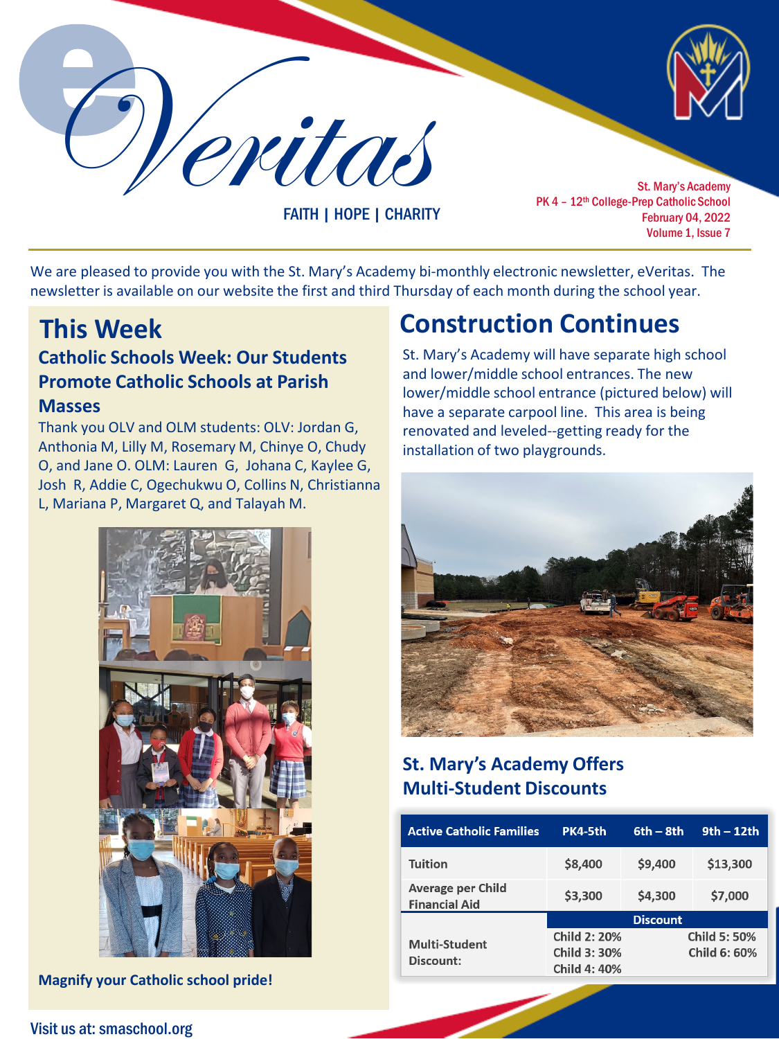Veritas St. Mary's Academy

FAITH | HOPE | CHARITY

PK 4 - 12<sup>th</sup> College-Prep Catholic School February 04, 2022 Volume 1, Issue 7

We are pleased to provide you with the St. Mary's Academy bi-monthly electronic newsletter, eVeritas. The newsletter is available on our website the first and third Thursday of each month during the school year.

## **Catholic Schools Week: Our Students Promote Catholic Schools at Parish Masses**

Thank you OLV and OLM students: OLV: Jordan G, Anthonia M, Lilly M, Rosemary M, Chinye O, Chudy O, and Jane O. OLM: Lauren G, Johana C, Kaylee G, Josh R, Addie C, Ogechukwu O, Collins N, Christianna L, Mariana P, Margaret Q, and Talayah M.



**Magnify your Catholic school pride!**

# **This Week Construction Continues**

St. Mary's Academy will have separate high school and lower/middle school entrances. The new lower/middle school entrance (pictured below) will have a separate carpool line. This area is being renovated and leveled--getting ready for the installation of two playgrounds.



## **St. Mary's Academy Offers Multi-Student Discounts**

| <b>Active Catholic Families</b>           | PK4-5th             | $6th - 8th$  | $9th - 12th$ |
|-------------------------------------------|---------------------|--------------|--------------|
| <b>Tuition</b>                            | \$8,400             | \$9,400      | \$13,300     |
| Average per Child<br><b>Financial Aid</b> | \$3,300             | \$4,300      | \$7,000      |
|                                           | <b>Discount</b>     |              |              |
| <b>Multi-Student</b><br>Discount:         | <b>Child 2: 20%</b> | Child 5: 50% |              |
|                                           | Child 3: 30%        |              | Child 6: 60% |
|                                           | <b>Child 4: 40%</b> |              |              |

Visit us at: smaschool.org